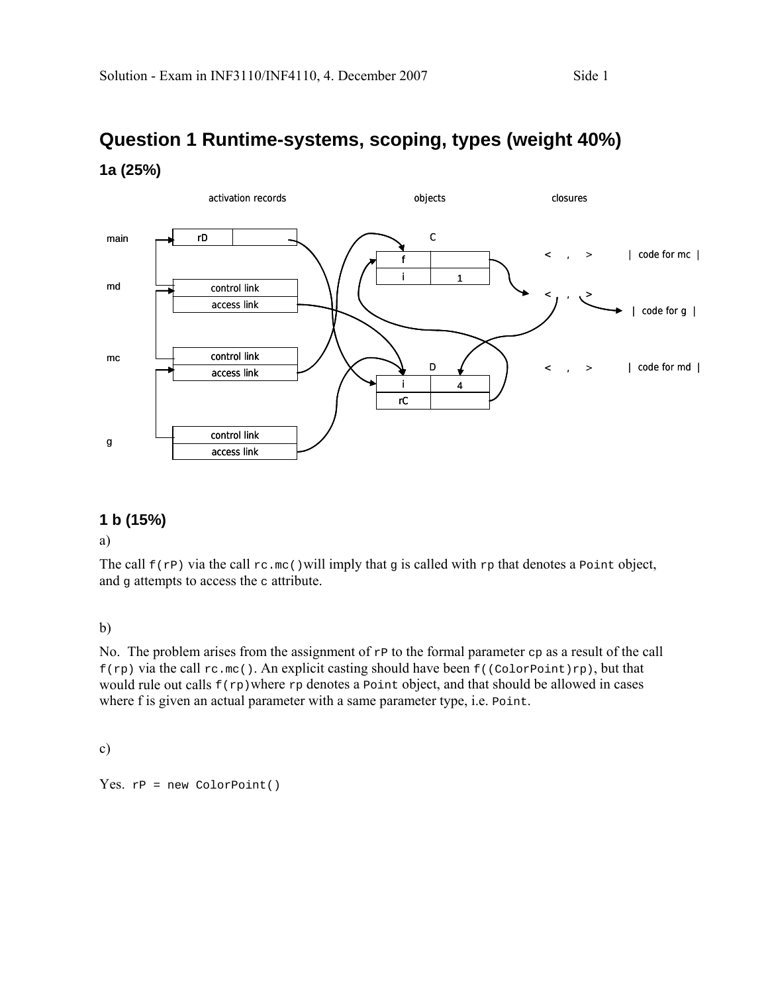# **Question 1 Runtime-systems, scoping, types (weight 40%) 1a (25%)**



### **1 b (15%)**

a)

The call  $f(r)$  via the call  $rc \nvert m c$  () will imply that g is called with  $rp$  that denotes a Point object, and  $\sigma$  attempts to access the  $\sigma$  attribute.

b)

No. The problem arises from the assignment of  $rP$  to the formal parameter  $cp$  as a result of the call  $f(rp)$  via the call  $rc.mc()$ . An explicit casting should have been  $f((colorPoint)rp)$ , but that would rule out calls  $f(\text{rp})$  where  $rp$  denotes a Point object, and that should be allowed in cases where f is given an actual parameter with a same parameter type, i.e. Point.

c)

Yes.  $rP$  = new ColorPoint()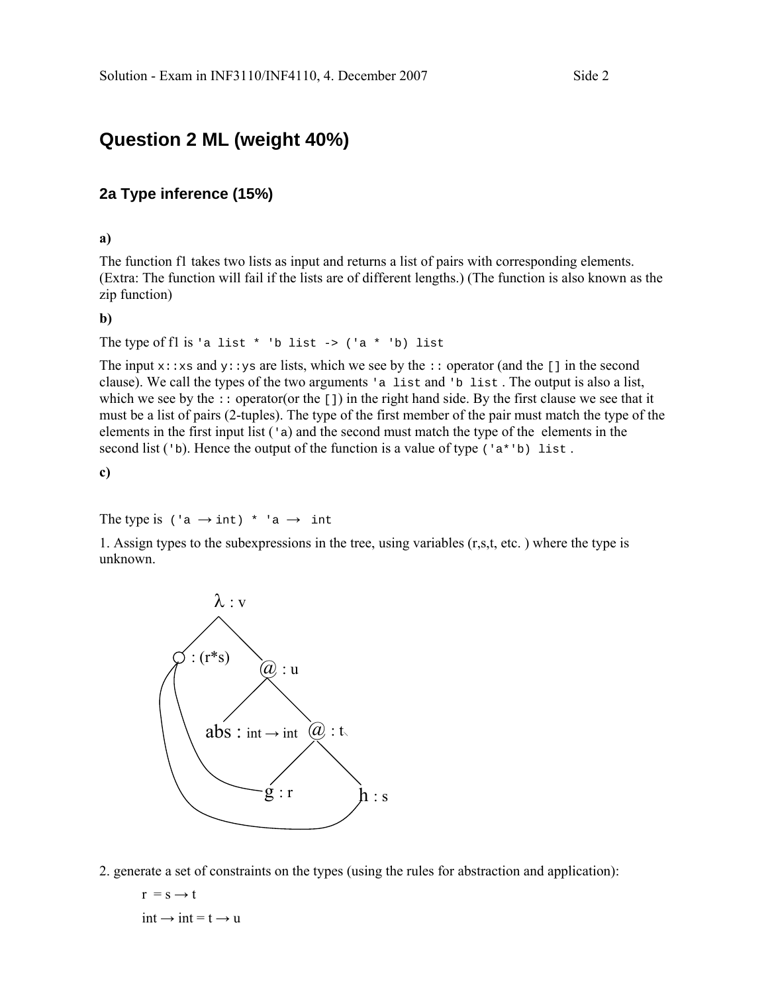# **Question 2 ML (weight 40%)**

#### **2a Type inference (15%)**

#### **a)**

The function f1 takes two lists as input and returns a list of pairs with corresponding elements. (Extra: The function will fail if the lists are of different lengths.) (The function is also known as the zip function)

**b)** 

The type of fl is 'a list \* 'b list ->  $('a * 'b)$  list

The input  $x:xs$  and  $y:ys$  are lists, which we see by the  $\cdots$  operator (and the [] in the second clause). We call the types of the two arguments 'a list and 'b list . The output is also a list, which we see by the  $\cdot:$  operator(or the []) in the right hand side. By the first clause we see that it must be a list of pairs (2-tuples). The type of the first member of the pair must match the type of the elements in the first input list  $(\alpha)$  and the second must match the type of the elements in the second list ( $\Delta$ ). Hence the output of the function is a value of type ( $\Delta$ \* $\Delta$ ) list.

**c)** 

The type is  $(\alpha \rightarrow \text{int})^*$   $\alpha \rightarrow \text{int}$ 

1. Assign types to the subexpressions in the tree, using variables (r,s,t, etc. ) where the type is unknown.



2. generate a set of constraints on the types (using the rules for abstraction and application):

$$
r = s \rightarrow t
$$
  
int  $\rightarrow$  int = t  $\rightarrow$  u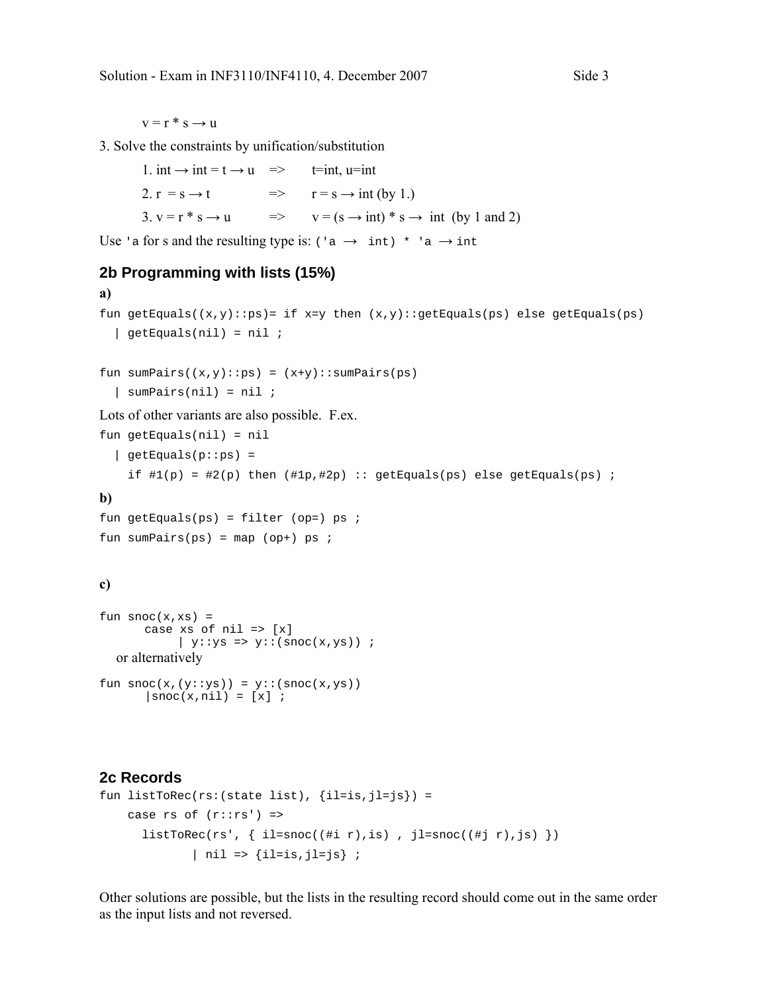$v = r * s \rightarrow u$ 

3. Solve the constraints by unification/substitution

1. int  $\rightarrow$  int = t  $\rightarrow$  u => t=int, u=int 2.  $r = s \rightarrow t$   $\Rightarrow$   $r = s \rightarrow int (by 1.)$ 3.  $v = r * s \rightarrow u$   $\Rightarrow$   $v = (s \rightarrow int) * s \rightarrow int (by 1 and 2)$ 

Use 'a for s and the resulting type is:  $(\alpha \rightarrow \text{int})^*$  'a  $\rightarrow \text{int}$ 

#### **2b Programming with lists (15%)**

```
a) 
fun getEquals((x,y):ps)= if x=y then (x,y):getEquals(ps) else getEquals(ps)
  \vert getEquals(nil) = nil ;
fun sumPairs((x,y)::ps) = (x+y)::sumPairs(ps) | sumPairs(nil) = nil ; 
Lots of other variants are also possible. F.ex. 
fun getEquals(nil) = nil 
  \vert getEquals(p::ps) =
    if \#1(p) = \#2(p) then (\#1p, \#2p) :: getEquals(ps) else getEquals(ps) ;
b) 
fun getEquals(ps) = filter (op=) ps ifun sumPairs(ps) = map (op+) ps ;
c) 
fun succ(x, xs) =case xs of nil \Rightarrow [x]| y::ys => y::(snoc(x,ys)) ;
  or alternatively 
fun succ(x,(y::ys)) = y::(succ(x,ys))|snoc(x,nil) = [x] ;
```
#### **2c Records**

```
fun listToRec(rs:(state list), \{il=is,jl=js\}) =
   case rs of (r::rs') =>
      listToRec(rs', \{ il=snoc((#i r),is), jl=snoc((#j r),js)})
             | nil => \{il=is, jl=js\};
```
Other solutions are possible, but the lists in the resulting record should come out in the same order as the input lists and not reversed.